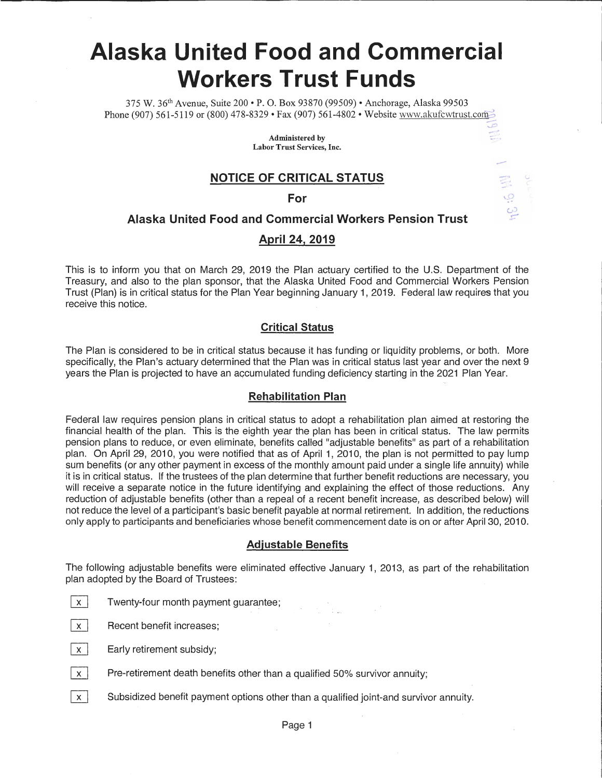# **Alaska United Food and Commercial Workers Trust Funds**

375 W. 36th Avenue, Suite 200 • P. 0. Box 93870 (99509) • Anchorage, Alaska 99503 Phone (907) 561-5119 or (800) 478-8329 • Fax (907) 561-4802 • Website www.akufcwtrust.com

-

 $-1.77$ 

**Administered by Labor Trust Services, Inc.** 

# **NOTICE OF CRITICAL STATUS**

**For** 

## **Alaska United Food and Commercial Workers Pension Trust**

# **April 24, 2019**

This is to inform you that on March 29, 2019 the Plan actuary certified to the U.S. Department of the Treasury, and also to the plan sponsor, that the Alaska United Food and Commercial Workers Pension Trust (Plan) is in critical status for the Plan Year beginning January 1, 2019. Federal law requires that you receive this notice.

### **Critical Status**

The Plan is considered to be in critical status because it has funding or liquidity problems, or both. More specifically, the Plan's actuary determined that the Plan was in critical status last year and over the next 9 years the Plan is projected to have an accumulated funding deficiency starting in the 2021 Plan Year.

#### **Rehabilitation Plan**

Federal law requires pension plans in critical status to adopt a rehabilitation plan aimed at restoring the financial health of the plan. This is the eighth year the plan has been in critical status. The law permits pension plans to reduce, or even eliminate, benefits called "adjustable benefits" as part of a rehabilitation plan. On April 29, 2010, you were notified that as of April 1, 2010, the plan is not permitted to pay lump sum benefits (or any other payment in excess of the monthly amount paid under a single life annuity) while it is in critical status. If the trustees of the plan determine that further benefit reductions are necessary, you will receive a separate notice in the future identifying and explaining the effect of those reductions. Any reduction of adjustable benefits (other than a repeal of a recent benefit increase, as described below) will not reduce the level of a participant's basic benefit payable at normal retirement. In addition, the reductions only apply to participants and beneficiaries whose benefit commencement date is on or after April 30, 2010.

#### **Adjustable Benefits**

The following adjustable benefits were eliminated effective January 1, 2013, as part of the rehabilitation plan adopted by the Board of Trustees:

- $\vert x \vert$  Twenty-four month payment guarantee;
- $x$  Recent benefit increases;
- $\vert x \vert$  Early retirement subsidy;
- $\vert x \vert$  Pre-retirement death benefits other than a qualified 50% survivor annuity;
- $\overline{x}$  Subsidized benefit payment options other than a qualified joint-and survivor annuity.